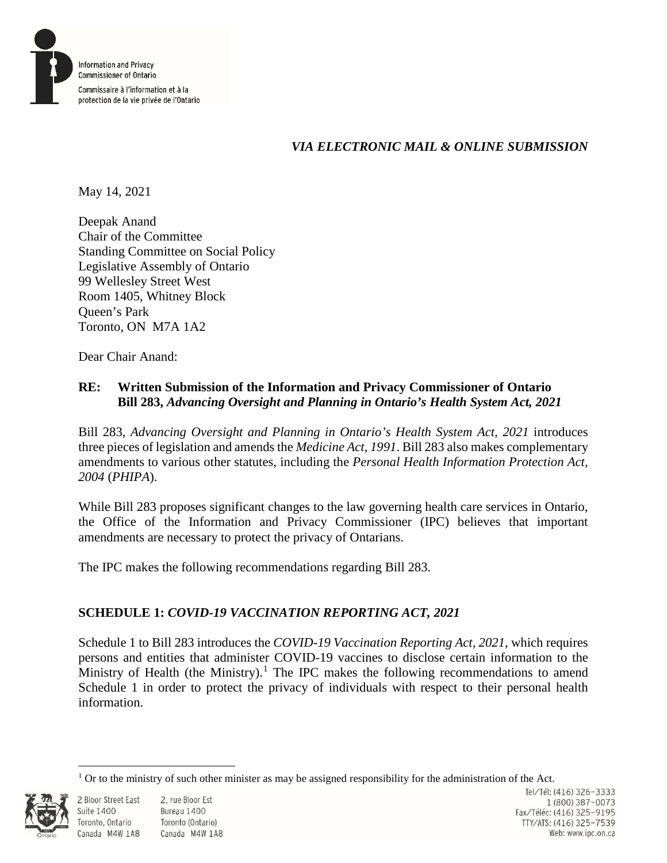

# *VIA ELECTRONIC MAIL & ONLINE SUBMISSION*

May 14, 2021

Deepak Anand Chair of the Committee Standing Committee on Social Policy Legislative Assembly of Ontario 99 Wellesley Street West Room 1405, Whitney Block Queen's Park Toronto, ON M7A 1A2

Dear Chair Anand:

# **RE: Written Submission of the Information and Privacy Commissioner of Ontario Bill 283,** *Advancing Oversight and Planning in Ontario's Health System Act, 2021*

Bill 283, *Advancing Oversight and Planning in Ontario's Health System Act, 2021* introduces three pieces of legislation and amends the *Medicine Act, 1991*. Bill 283 also makes complementary amendments to various other statutes, including the *Personal Health Information Protection Act, 2004* (*PHIPA*).

While Bill 283 proposes significant changes to the law governing health care services in Ontario, the Office of the Information and Privacy Commissioner (IPC) believes that important amendments are necessary to protect the privacy of Ontarians.

The IPC makes the following recommendations regarding Bill 283.

# **SCHEDULE 1:** *COVID-19 VACCINATION REPORTING ACT, 2021*

Schedule 1 to Bill 283 introduces the *COVID-19 Vaccination Reporting Act, 2021*, which requires persons and entities that administer COVID-19 vaccines to disclose certain information to the Ministry of Health (the Ministry).<sup>1</sup> The IPC makes the following recommendations to amend Schedule 1 in order to protect the privacy of individuals with respect to their personal health information.

 $\overline{a}$  $1$  Or to the ministry of such other minister as may be assigned responsibility for the administration of the Act.



**Suite 1400**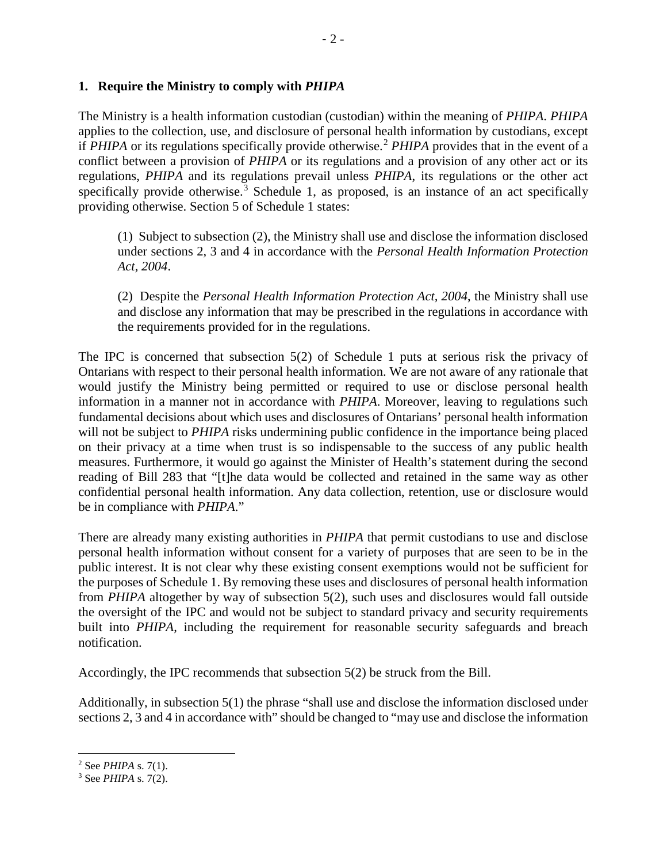## **1. Require the Ministry to comply with** *PHIPA*

The Ministry is a health information custodian (custodian) within the meaning of *PHIPA*. *PHIPA*  applies to the collection, use, and disclosure of personal health information by custodians, except if *PHIPA* or its regulations specifically provide otherwise.<sup>2</sup> *PHIPA* provides that in the event of a conflict between a provision of *PHIPA* or its regulations and a provision of any other act or its regulations, *PHIPA* and its regulations prevail unless *PHIPA*, its regulations or the other act specifically provide otherwise.<sup>3</sup> Schedule 1, as proposed, is an instance of an act specifically providing otherwise. Section 5 of Schedule 1 states:

(1) Subject to subsection (2), the Ministry shall use and disclose the information disclosed under sections 2, 3 and 4 in accordance with the *Personal Health Information Protection Act, 2004*.

(2) Despite the *Personal Health Information Protection Act, 2004*, the Ministry shall use and disclose any information that may be prescribed in the regulations in accordance with the requirements provided for in the regulations.

The IPC is concerned that subsection 5(2) of Schedule 1 puts at serious risk the privacy of Ontarians with respect to their personal health information. We are not aware of any rationale that would justify the Ministry being permitted or required to use or disclose personal health information in a manner not in accordance with *PHIPA*. Moreover, leaving to regulations such fundamental decisions about which uses and disclosures of Ontarians' personal health information will not be subject to *PHIPA* risks undermining public confidence in the importance being placed on their privacy at a time when trust is so indispensable to the success of any public health measures. Furthermore, it would go against the Minister of Health's statement during the second reading of Bill 283 that "[t]he data would be collected and retained in the same way as other confidential personal health information. Any data collection, retention, use or disclosure would be in compliance with *PHIPA*."

There are already many existing authorities in *PHIPA* that permit custodians to use and disclose personal health information without consent for a variety of purposes that are seen to be in the public interest. It is not clear why these existing consent exemptions would not be sufficient for the purposes of Schedule 1. By removing these uses and disclosures of personal health information from *PHIPA* altogether by way of subsection 5(2), such uses and disclosures would fall outside the oversight of the IPC and would not be subject to standard privacy and security requirements built into *PHIPA*, including the requirement for reasonable security safeguards and breach notification.

Accordingly, the IPC recommends that subsection 5(2) be struck from the Bill.

Additionally, in subsection 5(1) the phrase "shall use and disclose the information disclosed under sections 2, 3 and 4 in accordance with" should be changed to "may use and disclose the information

 $\overline{a}$ 

<sup>2</sup> See *PHIPA* s. 7(1).

<sup>3</sup> See *PHIPA* s. 7(2).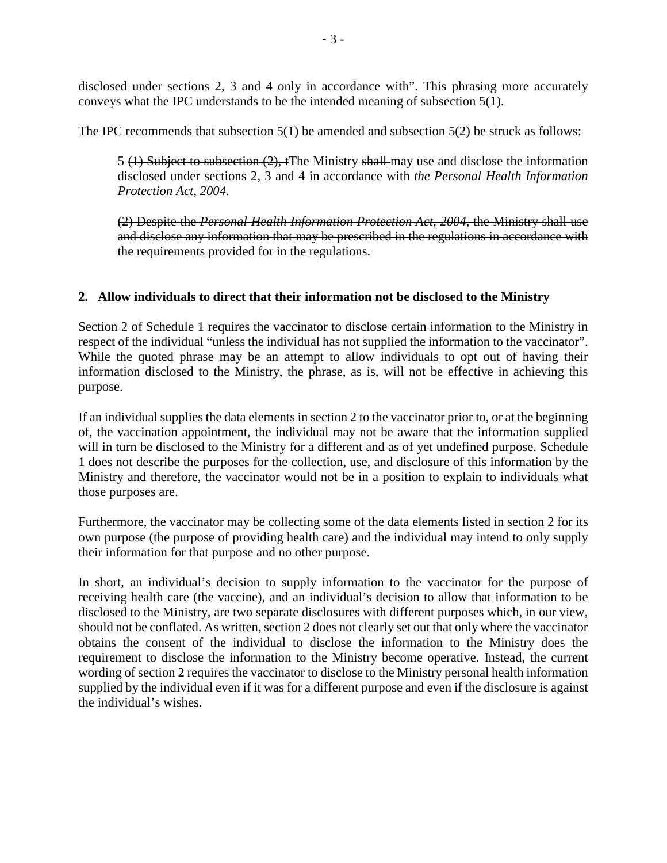disclosed under sections 2, 3 and 4 only in accordance with". This phrasing more accurately conveys what the IPC understands to be the intended meaning of subsection 5(1).

The IPC recommends that subsection 5(1) be amended and subsection 5(2) be struck as follows:

5 (1) Subject to subsection  $(2)$ , tThe Ministry shall-may use and disclose the information disclosed under sections 2, 3 and 4 in accordance with *the Personal Health Information Protection Act, 2004*.

(2) Despite the *Personal Health Information Protection Act, 2004*, the Ministry shall use and disclose any information that may be prescribed in the regulations in accordance with the requirements provided for in the regulations.

## **2. Allow individuals to direct that their information not be disclosed to the Ministry**

Section 2 of Schedule 1 requires the vaccinator to disclose certain information to the Ministry in respect of the individual "unless the individual has not supplied the information to the vaccinator". While the quoted phrase may be an attempt to allow individuals to opt out of having their information disclosed to the Ministry, the phrase, as is, will not be effective in achieving this purpose.

If an individual supplies the data elements in section 2 to the vaccinator prior to, or at the beginning of, the vaccination appointment, the individual may not be aware that the information supplied will in turn be disclosed to the Ministry for a different and as of yet undefined purpose. Schedule 1 does not describe the purposes for the collection, use, and disclosure of this information by the Ministry and therefore, the vaccinator would not be in a position to explain to individuals what those purposes are.

Furthermore, the vaccinator may be collecting some of the data elements listed in section 2 for its own purpose (the purpose of providing health care) and the individual may intend to only supply their information for that purpose and no other purpose.

In short, an individual's decision to supply information to the vaccinator for the purpose of receiving health care (the vaccine), and an individual's decision to allow that information to be disclosed to the Ministry, are two separate disclosures with different purposes which, in our view, should not be conflated. As written, section 2 does not clearly set out that only where the vaccinator obtains the consent of the individual to disclose the information to the Ministry does the requirement to disclose the information to the Ministry become operative. Instead, the current wording of section 2 requires the vaccinator to disclose to the Ministry personal health information supplied by the individual even if it was for a different purpose and even if the disclosure is against the individual's wishes.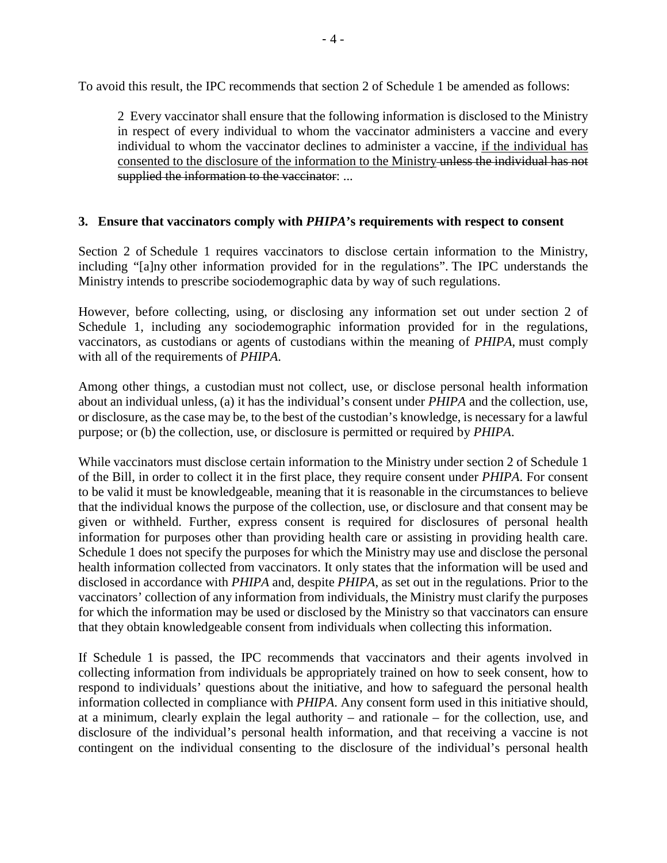To avoid this result, the IPC recommends that section 2 of Schedule 1 be amended as follows:

2 Every vaccinator shall ensure that the following information is disclosed to the Ministry in respect of every individual to whom the vaccinator administers a vaccine and every individual to whom the vaccinator declines to administer a vaccine, if the individual has consented to the disclosure of the information to the Ministry unless the individual has not supplied the information to the vaccinator: ...

### **3. Ensure that vaccinators comply with** *PHIPA***'s requirements with respect to consent**

Section 2 of Schedule 1 requires vaccinators to disclose certain information to the Ministry, including "[a]ny other information provided for in the regulations". The IPC understands the Ministry intends to prescribe sociodemographic data by way of such regulations.

However, before collecting, using, or disclosing any information set out under section 2 of Schedule 1, including any sociodemographic information provided for in the regulations, vaccinators, as custodians or agents of custodians within the meaning of *PHIPA*, must comply with all of the requirements of *PHIPA*.

Among other things, a custodian must not collect, use, or disclose personal health information about an individual unless, (a) it has the individual's consent under *PHIPA* and the collection, use, or disclosure, as the case may be, to the best of the custodian's knowledge, is necessary for a lawful purpose; or (b) the collection, use, or disclosure is permitted or required by *PHIPA*.

While vaccinators must disclose certain information to the Ministry under section 2 of Schedule 1 of the Bill, in order to collect it in the first place, they require consent under *PHIPA*. For consent to be valid it must be knowledgeable, meaning that it is reasonable in the circumstances to believe that the individual knows the purpose of the collection, use, or disclosure and that consent may be given or withheld. Further, express consent is required for disclosures of personal health information for purposes other than providing health care or assisting in providing health care. Schedule 1 does not specify the purposes for which the Ministry may use and disclose the personal health information collected from vaccinators. It only states that the information will be used and disclosed in accordance with *PHIPA* and, despite *PHIPA*, as set out in the regulations. Prior to the vaccinators' collection of any information from individuals, the Ministry must clarify the purposes for which the information may be used or disclosed by the Ministry so that vaccinators can ensure that they obtain knowledgeable consent from individuals when collecting this information.

If Schedule 1 is passed, the IPC recommends that vaccinators and their agents involved in collecting information from individuals be appropriately trained on how to seek consent, how to respond to individuals' questions about the initiative, and how to safeguard the personal health information collected in compliance with *PHIPA*. Any consent form used in this initiative should, at a minimum, clearly explain the legal authority – and rationale – for the collection, use, and disclosure of the individual's personal health information, and that receiving a vaccine is not contingent on the individual consenting to the disclosure of the individual's personal health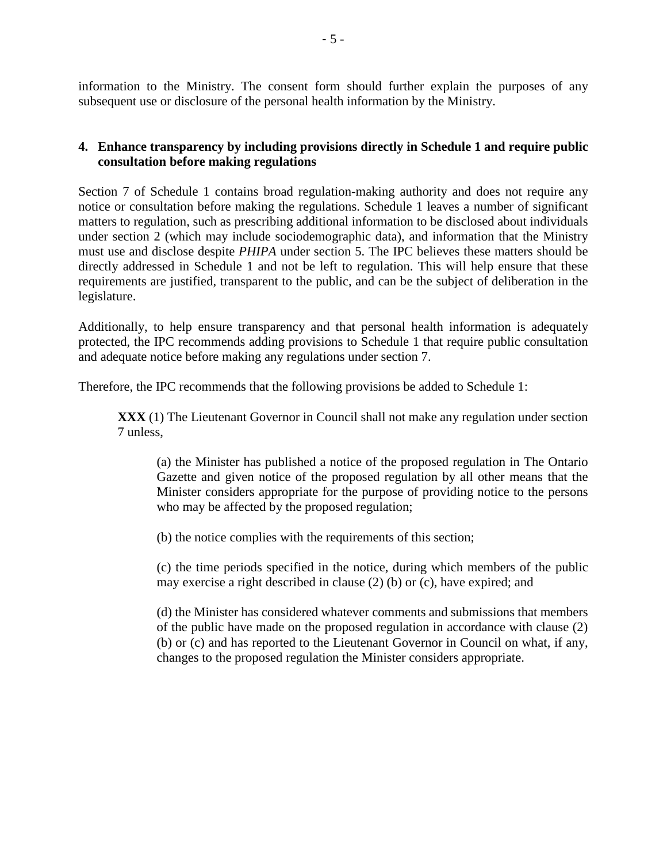information to the Ministry. The consent form should further explain the purposes of any subsequent use or disclosure of the personal health information by the Ministry.

# **4. Enhance transparency by including provisions directly in Schedule 1 and require public consultation before making regulations**

Section 7 of Schedule 1 contains broad regulation-making authority and does not require any notice or consultation before making the regulations. Schedule 1 leaves a number of significant matters to regulation, such as prescribing additional information to be disclosed about individuals under section 2 (which may include sociodemographic data), and information that the Ministry must use and disclose despite *PHIPA* under section 5. The IPC believes these matters should be directly addressed in Schedule 1 and not be left to regulation. This will help ensure that these requirements are justified, transparent to the public, and can be the subject of deliberation in the legislature.

Additionally, to help ensure transparency and that personal health information is adequately protected, the IPC recommends adding provisions to Schedule 1 that require public consultation and adequate notice before making any regulations under section 7.

Therefore, the IPC recommends that the following provisions be added to Schedule 1:

**XXX** (1) The Lieutenant Governor in Council shall not make any regulation under section 7 unless,

(a) the Minister has published a notice of the proposed regulation in The Ontario Gazette and given notice of the proposed regulation by all other means that the Minister considers appropriate for the purpose of providing notice to the persons who may be affected by the proposed regulation;

(b) the notice complies with the requirements of this section;

(c) the time periods specified in the notice, during which members of the public may exercise a right described in clause (2) (b) or (c), have expired; and

(d) the Minister has considered whatever comments and submissions that members of the public have made on the proposed regulation in accordance with clause (2) (b) or (c) and has reported to the Lieutenant Governor in Council on what, if any, changes to the proposed regulation the Minister considers appropriate.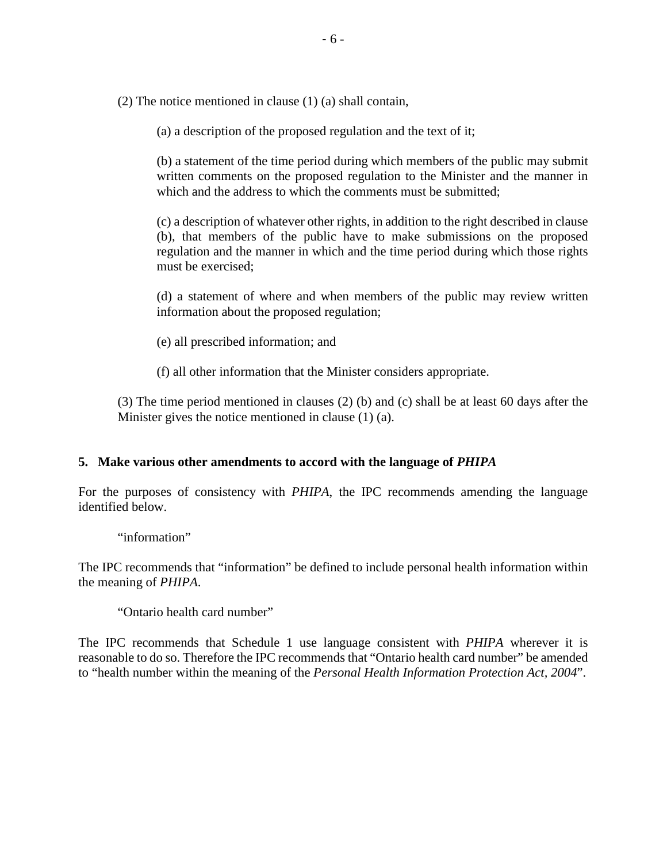(2) The notice mentioned in clause (1) (a) shall contain,

(a) a description of the proposed regulation and the text of it;

(b) a statement of the time period during which members of the public may submit written comments on the proposed regulation to the Minister and the manner in which and the address to which the comments must be submitted:

(c) a description of whatever other rights, in addition to the right described in clause (b), that members of the public have to make submissions on the proposed regulation and the manner in which and the time period during which those rights must be exercised;

(d) a statement of where and when members of the public may review written information about the proposed regulation;

- (e) all prescribed information; and
- (f) all other information that the Minister considers appropriate.

(3) The time period mentioned in clauses (2) (b) and (c) shall be at least 60 days after the Minister gives the notice mentioned in clause (1) (a).

#### **5. Make various other amendments to accord with the language of** *PHIPA*

For the purposes of consistency with *PHIPA*, the IPC recommends amending the language identified below.

"information"

The IPC recommends that "information" be defined to include personal health information within the meaning of *PHIPA*.

"Ontario health card number"

The IPC recommends that Schedule 1 use language consistent with *PHIPA* wherever it is reasonable to do so. Therefore the IPC recommends that "Ontario health card number" be amended to "health number within the meaning of the *Personal Health Information Protection Act, 2004*".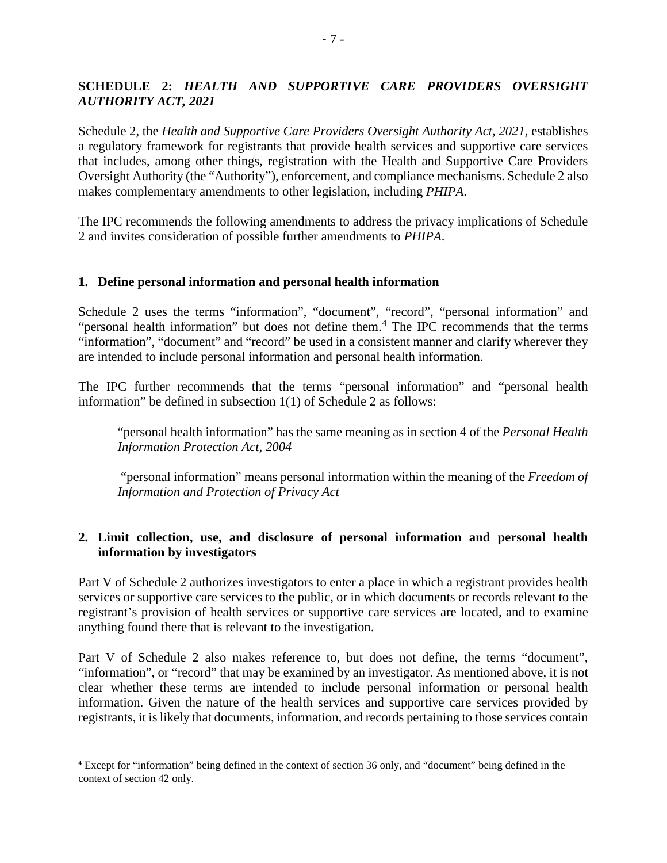# **SCHEDULE 2:** *HEALTH AND SUPPORTIVE CARE PROVIDERS OVERSIGHT AUTHORITY ACT, 2021*

Schedule 2, the *Health and Supportive Care Providers Oversight Authority Act, 2021*, establishes a regulatory framework for registrants that provide health services and supportive care services that includes, among other things, registration with the Health and Supportive Care Providers Oversight Authority (the "Authority"), enforcement, and compliance mechanisms. Schedule 2 also makes complementary amendments to other legislation, including *PHIPA*.

The IPC recommends the following amendments to address the privacy implications of Schedule 2 and invites consideration of possible further amendments to *PHIPA*.

## **1. Define personal information and personal health information**

Schedule 2 uses the terms "information", "document", "record", "personal information" and "personal health information" but does not define them.<sup>4</sup> The IPC recommends that the terms "information", "document" and "record" be used in a consistent manner and clarify wherever they are intended to include personal information and personal health information.

The IPC further recommends that the terms "personal information" and "personal health information" be defined in subsection 1(1) of Schedule 2 as follows:

"personal health information" has the same meaning as in section 4 of the *Personal Health Information Protection Act, 2004*

"personal information" means personal information within the meaning of the *Freedom of Information and Protection of Privacy Act*

## **2. Limit collection, use, and disclosure of personal information and personal health information by investigators**

Part V of Schedule 2 authorizes investigators to enter a place in which a registrant provides health services or supportive care services to the public, or in which documents or records relevant to the registrant's provision of health services or supportive care services are located, and to examine anything found there that is relevant to the investigation.

Part V of Schedule 2 also makes reference to, but does not define, the terms "document", "information", or "record" that may be examined by an investigator. As mentioned above, it is not clear whether these terms are intended to include personal information or personal health information. Given the nature of the health services and supportive care services provided by registrants, it is likely that documents, information, and records pertaining to those services contain

 $\overline{a}$ 

<sup>4</sup> Except for "information" being defined in the context of section 36 only, and "document" being defined in the context of section 42 only.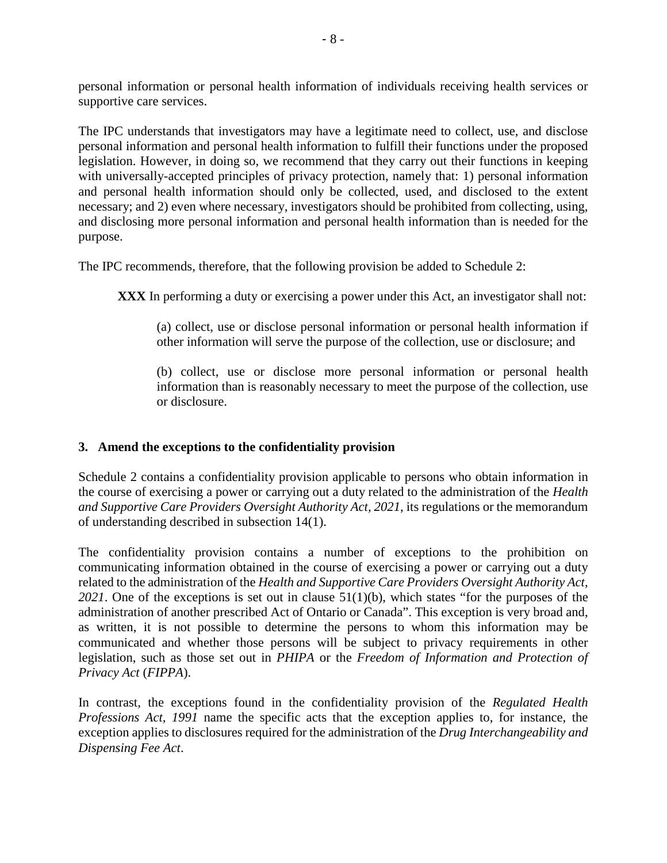personal information or personal health information of individuals receiving health services or supportive care services.

The IPC understands that investigators may have a legitimate need to collect, use, and disclose personal information and personal health information to fulfill their functions under the proposed legislation. However, in doing so, we recommend that they carry out their functions in keeping with universally-accepted principles of privacy protection, namely that: 1) personal information and personal health information should only be collected, used, and disclosed to the extent necessary; and 2) even where necessary, investigators should be prohibited from collecting, using, and disclosing more personal information and personal health information than is needed for the purpose.

The IPC recommends, therefore, that the following provision be added to Schedule 2:

**XXX** In performing a duty or exercising a power under this Act, an investigator shall not:

(a) collect, use or disclose personal information or personal health information if other information will serve the purpose of the collection, use or disclosure; and

(b) collect, use or disclose more personal information or personal health information than is reasonably necessary to meet the purpose of the collection, use or disclosure.

## **3. Amend the exceptions to the confidentiality provision**

Schedule 2 contains a confidentiality provision applicable to persons who obtain information in the course of exercising a power or carrying out a duty related to the administration of the *Health and Supportive Care Providers Oversight Authority Act, 2021*, its regulations or the memorandum of understanding described in subsection 14(1).

The confidentiality provision contains a number of exceptions to the prohibition on communicating information obtained in the course of exercising a power or carrying out a duty related to the administration of the *Health and Supportive Care Providers Oversight Authority Act, 2021*. One of the exceptions is set out in clause 51(1)(b), which states "for the purposes of the administration of another prescribed Act of Ontario or Canada". This exception is very broad and, as written, it is not possible to determine the persons to whom this information may be communicated and whether those persons will be subject to privacy requirements in other legislation, such as those set out in *PHIPA* or the *Freedom of Information and Protection of Privacy Act* (*FIPPA*).

In contrast, the exceptions found in the confidentiality provision of the *Regulated Health Professions Act, 1991* name the specific acts that the exception applies to, for instance, the exception applies to disclosures required for the administration of the *Drug Interchangeability and Dispensing Fee Act*.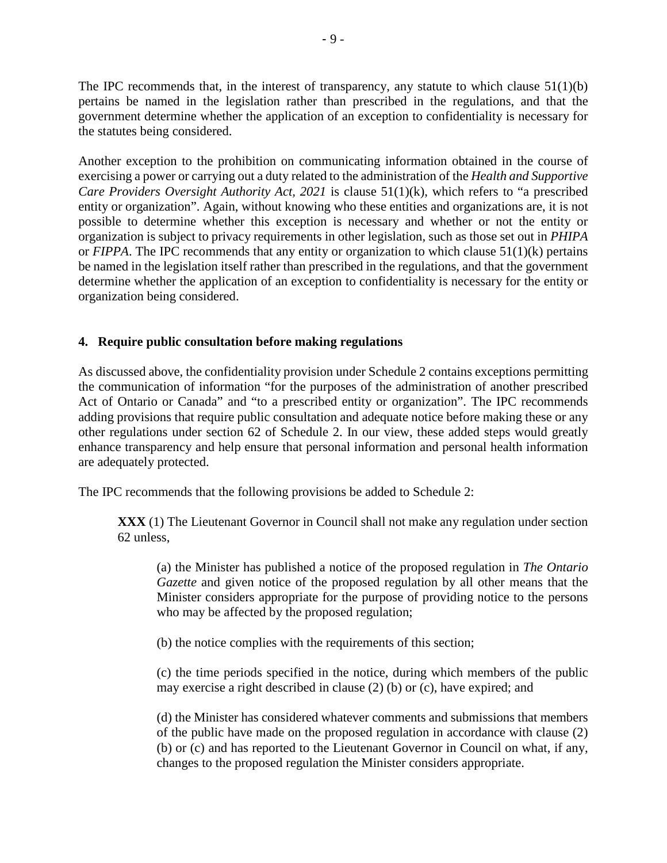The IPC recommends that, in the interest of transparency, any statute to which clause 51(1)(b) pertains be named in the legislation rather than prescribed in the regulations, and that the government determine whether the application of an exception to confidentiality is necessary for the statutes being considered.

Another exception to the prohibition on communicating information obtained in the course of exercising a power or carrying out a duty related to the administration of the *Health and Supportive Care Providers Oversight Authority Act, 2021* is clause 51(1)(k), which refers to "a prescribed entity or organization". Again, without knowing who these entities and organizations are, it is not possible to determine whether this exception is necessary and whether or not the entity or organization is subject to privacy requirements in other legislation, such as those set out in *PHIPA* or *FIPPA*. The IPC recommends that any entity or organization to which clause 51(1)(k) pertains be named in the legislation itself rather than prescribed in the regulations, and that the government determine whether the application of an exception to confidentiality is necessary for the entity or organization being considered.

## **4. Require public consultation before making regulations**

As discussed above, the confidentiality provision under Schedule 2 contains exceptions permitting the communication of information "for the purposes of the administration of another prescribed Act of Ontario or Canada" and "to a prescribed entity or organization". The IPC recommends adding provisions that require public consultation and adequate notice before making these or any other regulations under section 62 of Schedule 2. In our view, these added steps would greatly enhance transparency and help ensure that personal information and personal health information are adequately protected.

The IPC recommends that the following provisions be added to Schedule 2:

**XXX** (1) The Lieutenant Governor in Council shall not make any regulation under section 62 unless,

(a) the Minister has published a notice of the proposed regulation in *The Ontario Gazette* and given notice of the proposed regulation by all other means that the Minister considers appropriate for the purpose of providing notice to the persons who may be affected by the proposed regulation;

(b) the notice complies with the requirements of this section;

(c) the time periods specified in the notice, during which members of the public may exercise a right described in clause (2) (b) or (c), have expired; and

(d) the Minister has considered whatever comments and submissions that members of the public have made on the proposed regulation in accordance with clause (2) (b) or (c) and has reported to the Lieutenant Governor in Council on what, if any, changes to the proposed regulation the Minister considers appropriate.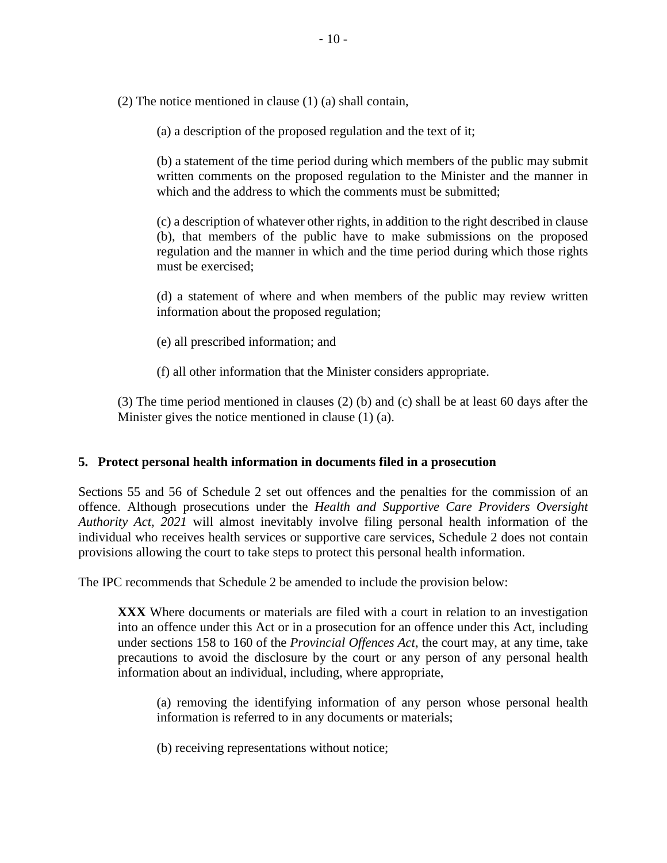(2) The notice mentioned in clause (1) (a) shall contain,

(a) a description of the proposed regulation and the text of it;

(b) a statement of the time period during which members of the public may submit written comments on the proposed regulation to the Minister and the manner in which and the address to which the comments must be submitted:

(c) a description of whatever other rights, in addition to the right described in clause (b), that members of the public have to make submissions on the proposed regulation and the manner in which and the time period during which those rights must be exercised;

(d) a statement of where and when members of the public may review written information about the proposed regulation;

- (e) all prescribed information; and
- (f) all other information that the Minister considers appropriate.

(3) The time period mentioned in clauses (2) (b) and (c) shall be at least 60 days after the Minister gives the notice mentioned in clause (1) (a).

#### **5. Protect personal health information in documents filed in a prosecution**

Sections 55 and 56 of Schedule 2 set out offences and the penalties for the commission of an offence. Although prosecutions under the *Health and Supportive Care Providers Oversight Authority Act, 2021* will almost inevitably involve filing personal health information of the individual who receives health services or supportive care services, Schedule 2 does not contain provisions allowing the court to take steps to protect this personal health information.

The IPC recommends that Schedule 2 be amended to include the provision below:

**XXX** Where documents or materials are filed with a court in relation to an investigation into an offence under this Act or in a prosecution for an offence under this Act, including under sections 158 to 160 of the *Provincial Offences Act*, the court may, at any time, take precautions to avoid the disclosure by the court or any person of any personal health information about an individual, including, where appropriate,

(a) removing the identifying information of any person whose personal health information is referred to in any documents or materials;

(b) receiving representations without notice;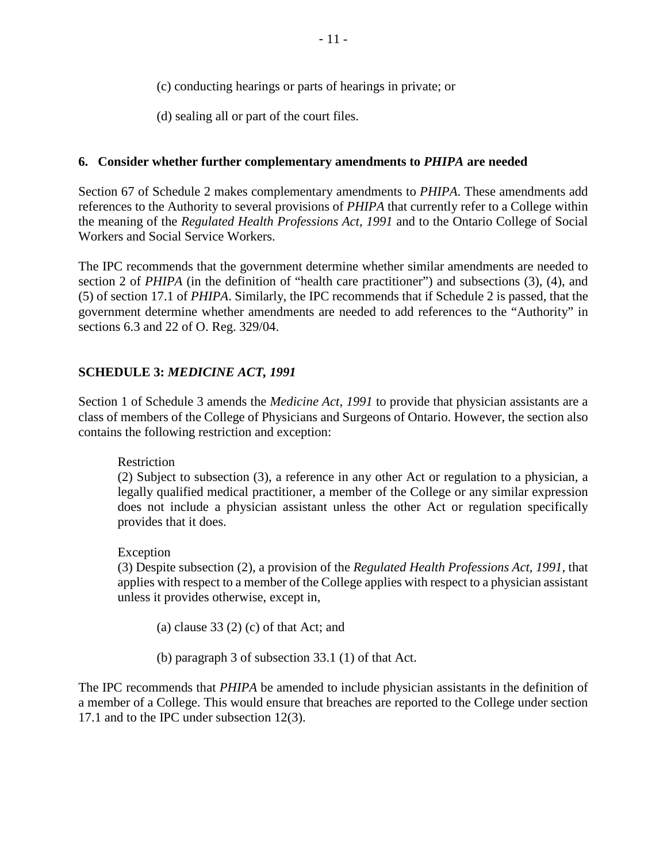- (c) conducting hearings or parts of hearings in private; or
- (d) sealing all or part of the court files.

## **6. Consider whether further complementary amendments to** *PHIPA* **are needed**

Section 67 of Schedule 2 makes complementary amendments to *PHIPA*. These amendments add references to the Authority to several provisions of *PHIPA* that currently refer to a College within the meaning of the *Regulated Health Professions Act, 1991* and to the Ontario College of Social Workers and Social Service Workers.

The IPC recommends that the government determine whether similar amendments are needed to section 2 of *PHIPA* (in the definition of "health care practitioner") and subsections (3), (4), and (5) of section 17.1 of *PHIPA*. Similarly, the IPC recommends that if Schedule 2 is passed, that the government determine whether amendments are needed to add references to the "Authority" in sections 6.3 and 22 of O. Reg. 329/04.

## **SCHEDULE 3:** *MEDICINE ACT, 1991*

Section 1 of Schedule 3 amends the *Medicine Act, 1991* to provide that physician assistants are a class of members of the College of Physicians and Surgeons of Ontario. However, the section also contains the following restriction and exception:

Restriction

(2) Subject to subsection (3), a reference in any other Act or regulation to a physician, a legally qualified medical practitioner, a member of the College or any similar expression does not include a physician assistant unless the other Act or regulation specifically provides that it does.

Exception

(3) Despite subsection (2), a provision of the *Regulated Health Professions Act, 1991*, that applies with respect to a member of the College applies with respect to a physician assistant unless it provides otherwise, except in,

(a) clause  $33(2)$  (c) of that Act; and

(b) paragraph 3 of subsection 33.1 (1) of that Act.

The IPC recommends that *PHIPA* be amended to include physician assistants in the definition of a member of a College. This would ensure that breaches are reported to the College under section 17.1 and to the IPC under subsection 12(3).